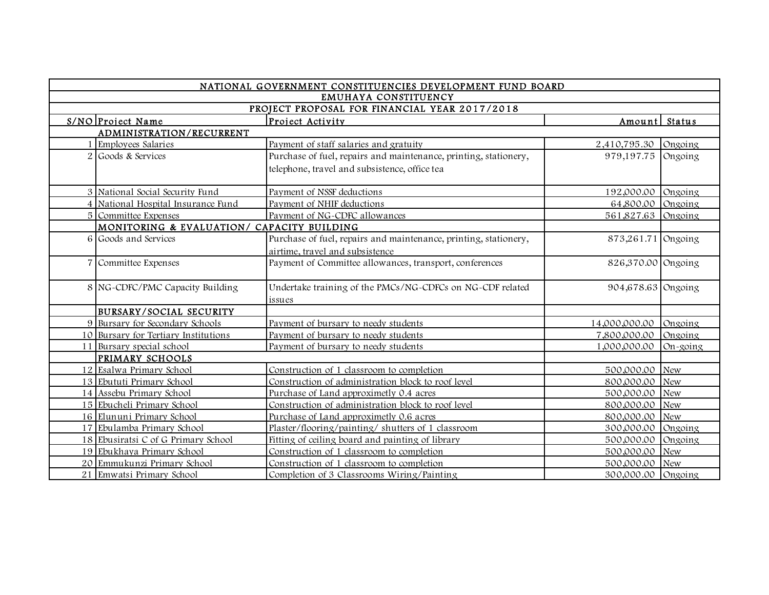|   |                                            | NATIONAL GOVERNMENT CONSTITUENCIES DEVELOPMENT FUND BOARD        |                    |               |
|---|--------------------------------------------|------------------------------------------------------------------|--------------------|---------------|
|   |                                            | EMUHAYA CONSTITUENCY                                             |                    |               |
|   |                                            | PROJECT PROPOSAL FOR FINANCIAL YEAR 2017/2018                    |                    |               |
|   | S/NO Project Name                          | Project Activity                                                 | Amount             | <b>Status</b> |
|   | ADMINISTRATION/RECURRENT                   |                                                                  |                    |               |
|   | Employees Salaries                         | Payment of staff salaries and gratuity                           | 2,410,795.30       | Ongoing       |
|   | 2 Goods & Services                         | Purchase of fuel, repairs and maintenance, printing, stationery, | 979,197.75         | Ongoing       |
|   |                                            | telephone, travel and subsistence, office tea                    |                    |               |
|   | 3 National Social Security Fund            | Payment of NSSF deductions                                       | 192,000.00 Ongoing |               |
|   | 4 National Hospital Insurance Fund         | Payment of NHIF deductions                                       | 64,800.00          | Ongoing       |
|   | 5 Committee Expenses                       | Payment of NG-CDFC allowances                                    | 561,827.63 Ongoing |               |
|   | MONITORING & EVALUATION/ CAPACITY BUILDING |                                                                  |                    |               |
|   | 6 Goods and Services                       | Purchase of fuel, repairs and maintenance, printing, stationery, | 873,261.71 Ongoing |               |
|   |                                            | airtime, travel and subsistence                                  |                    |               |
| 7 | Committee Expenses                         | Payment of Committee allowances, transport, conferences          | 826,370.00 Ongoing |               |
|   |                                            |                                                                  |                    |               |
|   | 8 NG-CDFC/PMC Capacity Building            | Undertake training of the PMCs/NG-CDFCs on NG-CDF related        | 904,678.63 Ongoing |               |
|   |                                            | issues                                                           |                    |               |
|   | BURSARY/SOCIAL SECURITY                    |                                                                  |                    |               |
|   | 9 Bursary for Secondary Schools            | Payment of bursary to needy students                             | 14,000,000.00      | Ongoing       |
|   | 10 Bursary for Tertiary Institutions       | Payment of bursary to needy students                             | 7,800,000.00       | Ongoing       |
|   | 11 Bursary special school                  | Payment of bursary to needy students                             | 1,000,000.00       | $On-going$    |
|   | PRIMARY SCHOOLS                            |                                                                  |                    |               |
|   | 12 Esalwa Primary School                   | Construction of 1 classroom to completion                        | 500,000.00 New     |               |
|   | 13 Ebututi Primary School                  | Construction of administration block to roof level               | 800,000.00 New     |               |
|   | 14 Assebu Primary School                   | Purchase of Land approximetly 0.4 acres                          | 500,000.00 New     |               |
|   | 15 Ebucheli Primary School                 | Construction of administration block to roof level               | 800,000.00 New     |               |
|   | 16 Elununi Primary School                  | Purchase of Land approximetly 0.6 acres                          | 800,000.00 New     |               |
|   | 17 Ebulamba Primary School                 | Plaster/flooring/painting/shutters of 1 classroom                | 300,000.00 Ongoing |               |
|   | 18 Ebusiratsi C of G Primary School        | Fitting of ceiling board and painting of library                 | 500,000.00 Ongoing |               |
|   | 19 Ebukhaya Primary School                 | Construction of 1 classroom to completion                        | 500,000.00 New     |               |
|   | 20 Emmukunzi Primary School                | Construction of 1 classroom to completion                        | 500,000.00 New     |               |
|   | 21 Emwatsi Primary School                  | Completion of 3 Classrooms Wiring/Painting                       | 300,000.00 Ongoing |               |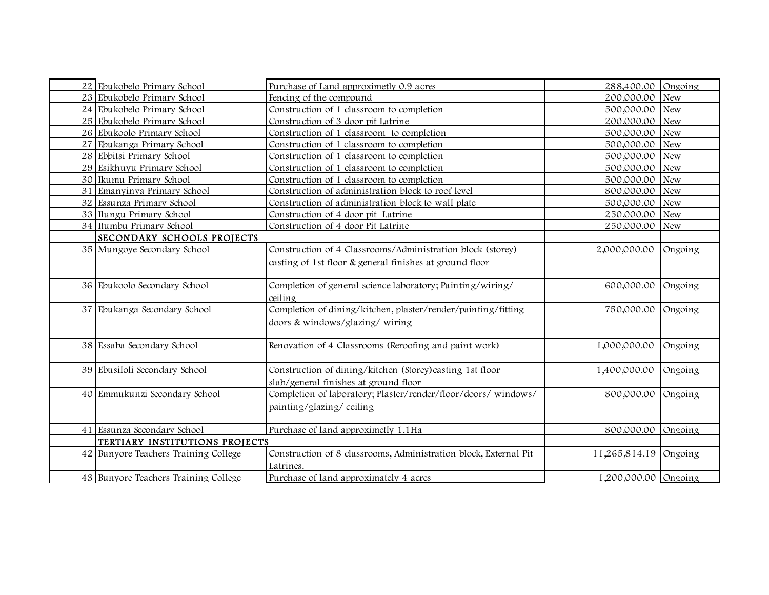| 22 Ebukobelo Primary School          | Purchase of Land approximetly 0.9 acres                          | 288,400.00           | Ongoing    |
|--------------------------------------|------------------------------------------------------------------|----------------------|------------|
| 23 Ebukobelo Primary School          | Fencing of the compound                                          | 200,000.00           | <b>New</b> |
| 24 Ebukobelo Primary School          | Construction of 1 classroom to completion                        | 500,000.00 New       |            |
| 25 Ebukobelo Primary School          | Construction of 3 door pit Latrine                               | 200,000.00           | <b>New</b> |
| 26 Ebukoolo Primary School           | Construction of 1 classroom to completion                        | 500,000.00           | New        |
| 27 Ebukanga Primary School           | Construction of 1 classroom to completion                        | 500,000.00           | <b>New</b> |
| 28 Ebbitsi Primary School            | Construction of 1 classroom to completion                        | 500,000.00           | <b>New</b> |
| 29 Esikhuyu Primary School           | Construction of 1 classroom to completion                        | 500,000.00 New       |            |
| 30 Ikumu Primary School              | Construction of 1 classroom to completion                        | 500,000.00 New       |            |
| 31 Emanyinya Primary School          | Construction of administration block to roof level               | 800,000.00 New       |            |
| 32 Essunza Primary School            | Construction of administration block to wall plate               | 500,000.00 New       |            |
| 33 Ilungu Primary School             | Construction of 4 door pit Latrine                               | 250,000.00 New       |            |
| 34 Itumbu Primary School             | Construction of 4 door Pit Latrine                               | 250,000.00           | <b>New</b> |
| SECONDARY SCHOOLS PROJECTS           |                                                                  |                      |            |
| 35 Mungoye Secondary School          | Construction of 4 Classrooms/Administration block (storey)       | 2,000,000.00         | Ongoing    |
|                                      | casting of 1st floor & general finishes at ground floor          |                      |            |
|                                      |                                                                  |                      |            |
| 36 Ebukoolo Secondary School         | Completion of general science laboratory; Painting/wiring/       | 600,000.00           | Ongoing    |
|                                      | ceiling                                                          |                      |            |
| 37 Ebukanga Secondary School         | Completion of dining/kitchen, plaster/render/painting/fitting    | 750,000.00           | Ongoing    |
|                                      | doors & windows/glazing/wiring                                   |                      |            |
|                                      |                                                                  |                      |            |
| 38 Essaba Secondary School           | Renovation of 4 Classrooms (Reroofing and paint work)            | 1,000,000.00         | Ongoing    |
|                                      |                                                                  |                      |            |
| 39 Ebusiloli Secondary School        | Construction of dining/kitchen (Storey) casting 1st floor        | 1,400,000.00         | Ongoing    |
|                                      | slab/general finishes at ground floor                            |                      |            |
| 40 Emmukunzi Secondary School        | Completion of laboratory; Plaster/render/floor/doors/windows/    | 800,000.00           | Ongoing    |
|                                      | painting/glazing/ceiling                                         |                      |            |
|                                      |                                                                  |                      |            |
| 41 Essunza Secondary School          | Purchase of land approximetly 1.1Ha                              | 800,000.00           | Ongoing    |
| TERTIARY INSTITUTIONS PROJECTS       |                                                                  |                      |            |
| 42 Bunyore Teachers Training College | Construction of 8 classrooms, Administration block, External Pit | 11,265,814.19        | Ongoing    |
|                                      | Latrines.                                                        |                      |            |
| 43 Bunyore Teachers Training College | Purchase of land approximately 4 acres                           | 1,200,000.00 Ongoing |            |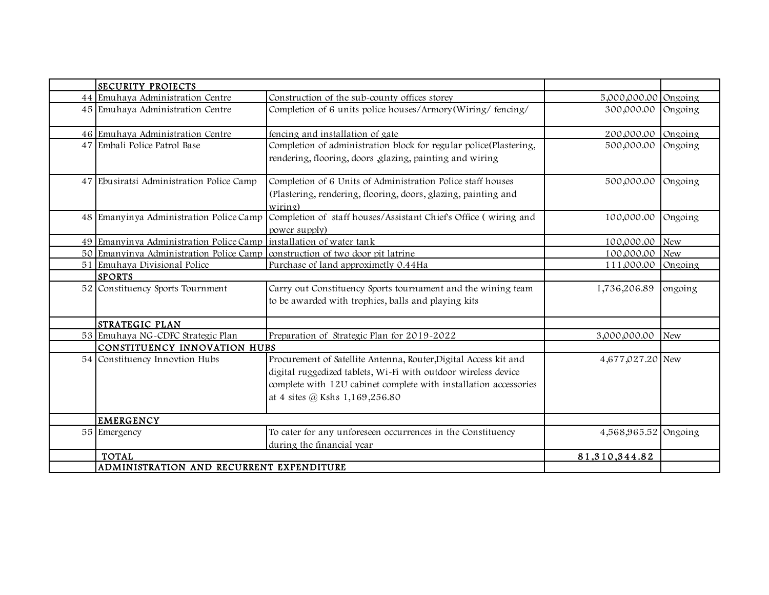| <b>SECURITY PROJECTS</b>                                           |                                                                                                                                                                                                                                          |                      |            |
|--------------------------------------------------------------------|------------------------------------------------------------------------------------------------------------------------------------------------------------------------------------------------------------------------------------------|----------------------|------------|
| 44 Emuhaya Administration Centre                                   | Construction of the sub-county offices storey                                                                                                                                                                                            | 5,000,000.00 Ongoing |            |
| 45 Emuhaya Administration Centre                                   | Completion of 6 units police houses/Armory(Wiring/fencing/                                                                                                                                                                               | 300,000.00           | Ongoing    |
| 46 Emuhaya Administration Centre                                   | fencing and installation of gate                                                                                                                                                                                                         | 200,000.00           | Ongoing    |
| 47 Embali Police Patrol Base                                       | Completion of administration block for regular police(Plastering,<br>rendering, flooring, doors glazing, painting and wiring                                                                                                             | 500,000.00           | Ongoing    |
| 47 Ebusiratsi Administration Police Camp                           | Completion of 6 Units of Administration Police staff houses<br>(Plastering, rendering, flooring, doors, glazing, painting and<br>wiring)                                                                                                 | 500,000.00           | Ongoing    |
| 48 Emanyinya Administration Police Camp                            | Completion of staff houses/Assistant Chief's Office (wiring and<br>power supply)                                                                                                                                                         | 100,000.00           | Ongoing    |
| 49 Emanyinya Administration Police Camp installation of water tank |                                                                                                                                                                                                                                          | 100,000.00           | <b>New</b> |
| 50 Emanyinya Administration Police Camp                            | construction of two door pit latrine                                                                                                                                                                                                     | 100,000.00           | <b>New</b> |
| 51 Emuhaya Divisional Police                                       | Purchase of land approximetly 0.44Ha                                                                                                                                                                                                     | 111,000.00           | Ongoing    |
| <b>SPORTS</b>                                                      |                                                                                                                                                                                                                                          |                      |            |
| 52 Constituency Sports Tournment                                   | Carry out Constituency Sports tournament and the wining team<br>to be awarded with trophies, balls and playing kits                                                                                                                      | 1,736,206.89         | ongoing    |
| STRATEGIC PLAN                                                     |                                                                                                                                                                                                                                          |                      |            |
| 53 Emuhaya NG-CDFC Strategic Plan                                  | Preparation of Strategic Plan for 2019-2022                                                                                                                                                                                              | 3,000,000.00         | <b>New</b> |
| CONSTITUENCY INNOVATION HUBS                                       |                                                                                                                                                                                                                                          |                      |            |
| 54 Constituency Innovtion Hubs                                     | Procurement of Satellite Antenna, Router, Digital Access kit and<br>digital ruggedized tablets, Wi-Fi with outdoor wireless device<br>complete with 12U cabinet complete with installation accessories<br>at 4 sites @ Kshs 1,169,256.80 | 4,677,027.20 New     |            |
| <b>EMERGENCY</b>                                                   |                                                                                                                                                                                                                                          |                      |            |
| 55 Emergency                                                       | To cater for any unforeseen occurrences in the Constituency<br>during the financial year                                                                                                                                                 | 4,568,965.52 Ongoing |            |
| <b>TOTAL</b>                                                       |                                                                                                                                                                                                                                          | 81,310,344.82        |            |
| ADMINISTRATION AND RECURRENT EXPENDITURE                           |                                                                                                                                                                                                                                          |                      |            |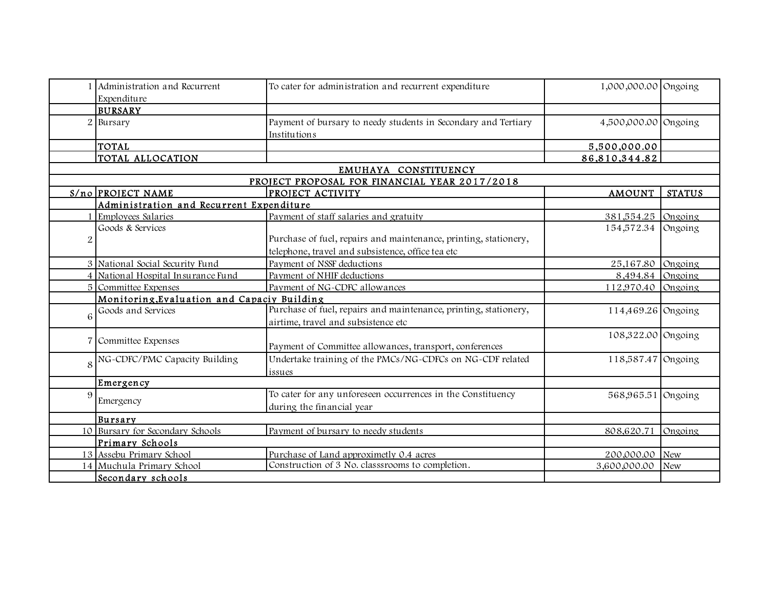|                | Administration and Recurrent                | To cater for administration and recurrent expenditure            | 1,000,000.00 Ongoing |               |
|----------------|---------------------------------------------|------------------------------------------------------------------|----------------------|---------------|
|                | Expenditure                                 |                                                                  |                      |               |
|                | <b>BURSARY</b>                              |                                                                  |                      |               |
| $\overline{2}$ | Bursary                                     | Payment of bursary to needy students in Secondary and Tertiary   | 4,500,000.00 Ongoing |               |
|                |                                             | Institutions                                                     |                      |               |
|                | <b>TOTAL</b>                                |                                                                  | 5,500,000.00         |               |
|                | TOTAL ALLOCATION                            |                                                                  | 86,810,344.82        |               |
|                |                                             | EMUHAYA CONSTITUENCY                                             |                      |               |
|                |                                             | PROJECT PROPOSAL FOR FINANCIAL YEAR 2017/2018                    |                      |               |
|                | $S/no$ PROJECT NAME                         | PROJECT ACTIVITY                                                 | <b>AMOUNT</b>        | <b>STATUS</b> |
|                | Administration and Recurrent Expenditure    |                                                                  |                      |               |
|                | Employees Salaries                          | Payment of staff salaries and gratuity                           | 381,554.25           | Ongoing       |
|                | Goods & Services                            |                                                                  | 154,572.34           | Ongoing       |
| $\overline{c}$ |                                             | Purchase of fuel, repairs and maintenance, printing, stationery, |                      |               |
|                |                                             | telephone, travel and subsistence, office tea etc                |                      |               |
|                | 3 National Social Security Fund             | Payment of NSSF deductions                                       | 25,167.80            | Ongoing       |
|                | 4 National Hospital Insurance Fund          | Payment of NHIF deductions                                       | 8,494.84             | Ongoing       |
|                | 5 Committee Expenses                        | Payment of NG-CDFC allowances                                    | 112,970.40           | Ongoing       |
|                | Monitoring, Evaluation and Capaciy Building |                                                                  |                      |               |
|                | Goods and Services                          | Purchase of fuel, repairs and maintenance, printing, stationery, | 114,469.26 Ongoing   |               |
| 6              |                                             | airtime, travel and subsistence etc                              |                      |               |
|                |                                             |                                                                  | 108,322.00 Ongoing   |               |
|                | Committee Expenses                          | Payment of Committee allowances, transport, conferences          |                      |               |
|                | NG-CDFC/PMC Capacity Building               | Undertake training of the PMCs/NG-CDFCs on NG-CDF related        | 118,587.47 Ongoing   |               |
| 8              |                                             | issues                                                           |                      |               |
|                | Emergency                                   |                                                                  |                      |               |
| 9              |                                             | To cater for any unforeseen occurrences in the Constituency      |                      |               |
|                | Emergency                                   |                                                                  | 568,965.51 Ongoing   |               |
|                |                                             | during the financial year                                        |                      |               |
|                | <b>Bursary</b>                              |                                                                  |                      |               |
|                | 10 Bursary for Secondary Schools            | Payment of bursary to needy students                             | 808,620.71           | Ongoing       |
|                | Primary Schools                             |                                                                  |                      |               |
|                | 13 Assebu Primary School                    | Purchase of Land approximetly 0.4 acres                          | 200,000.00           | <b>New</b>    |
|                | 14 Muchula Primary School                   | Construction of 3 No. classsrooms to completion.                 | 3,600,000.00         | <b>New</b>    |
|                | Secondary schools                           |                                                                  |                      |               |